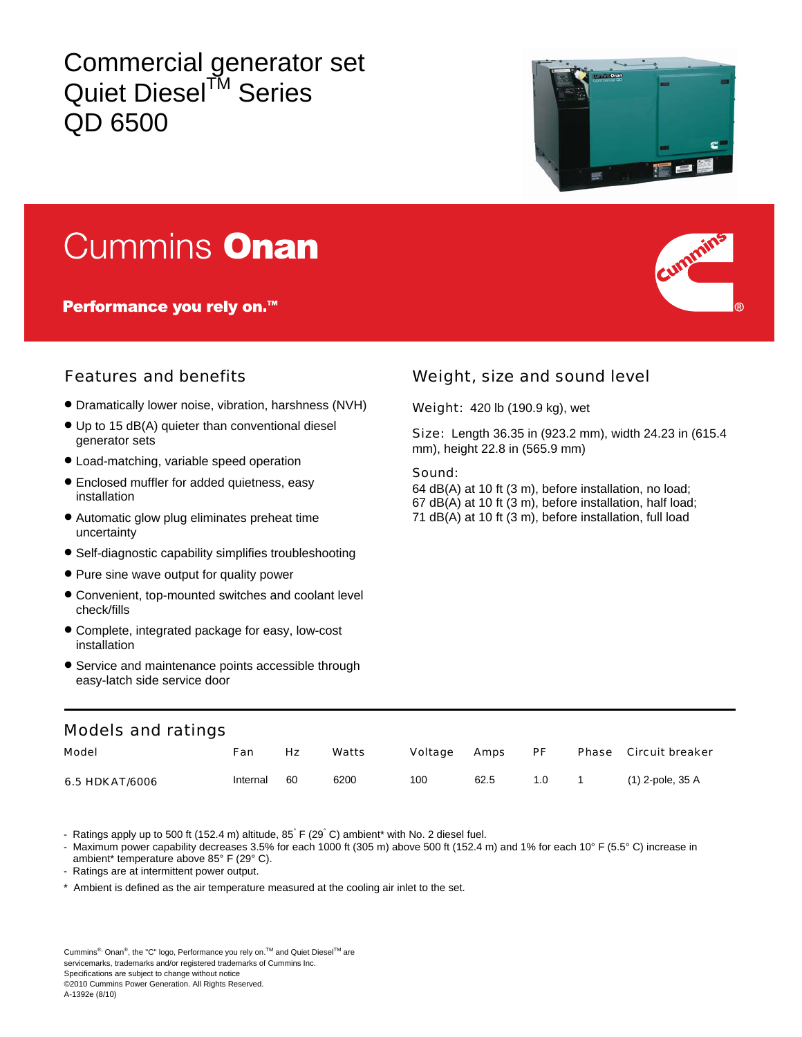Commercial generator set Quiet Diesel<sup>™</sup> Series QD 6500



# Cummins Onan

Performance you rely on.<sup>™</sup>



- Dramatically lower noise, vibration, harshness (NVH)
- Up to 15 dB(A) quieter than conventional diesel generator sets
- Load-matching, variable speed operation
- Enclosed muffler for added quietness, easy installation
- Automatic glow plug eliminates preheat time uncertainty
- Self-diagnostic capability simplifies troubleshooting
- Pure sine wave output for quality power
- Convenient, top-mounted switches and coolant level check/fills
- Complete, integrated package for easy, low-cost installation
- Service and maintenance points accessible through easy-latch side service door

## Features and benefits Weight, size and sound level

Weight: 420 lb (190.9 kg), wet

Size: Length 36.35 in (923.2 mm), width 24.23 in (615.4 mm), height 22.8 in (565.9 mm)

#### Sound:

64 dB(A) at 10 ft (3 m), before installation, no load; 67 dB(A) at 10 ft (3 m), before installation, half load; 71 dB(A) at 10 ft (3 m), before installation, full load

### Models and ratings

| Model          | Fan      | Нz | Watts | Voltage | <b>Amps</b> | PF  |          | <b>Phase</b> Circuit breaker |
|----------------|----------|----|-------|---------|-------------|-----|----------|------------------------------|
| 6.5 HDKAT/6006 | Internal | 60 | 6200  | 100     | 62.5        | 1.0 | $\sim$ 1 | (1) 2-pole, 35 A             |

- Ratings apply up to 500 ft (152.4 m) altitude, 85 F (29 °C) ambient\* with No. 2 diesel fuel.

Maximum power capability decreases 3.5% for each 1000 ft (305 m) above 500 ft (152.4 m) and 1% for each 10° F (5.5° C) increase in ambient\* temperature above 85° F (29° C).

- Ratings are at intermittent power output.

\* Ambient is defined as the air temperature measured at the cooling air inlet to the set.

A-1392e (8/10)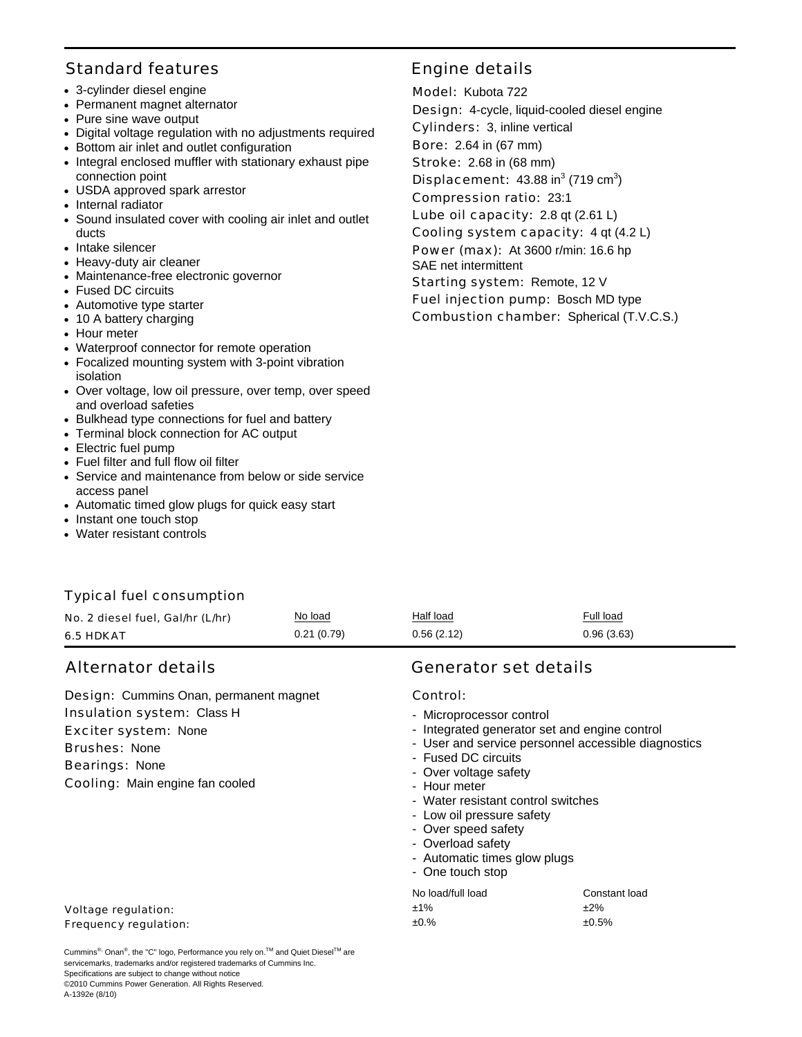### Standard features **Engine details**

- 3-cylinder diesel engine
- Permanent magnet alternator
- Pure sine wave output
- Digital voltage regulation with no adjustments required
- Bottom air inlet and outlet configuration
- Integral enclosed muffler with stationary exhaust pipe connection point
- USDA approved spark arrestor
- Internal radiator
- Sound insulated cover with cooling air inlet and outlet ducts
- Intake silencer
- Heavy-duty air cleaner
- Maintenance-free electronic governor
- Fused DC circuits
- Automotive type starter
- 10 A battery charging
- Hour meter
- Waterproof connector for remote operation
- Focalized mounting system with 3-point vibration isolation
- Over voltage, low oil pressure, over temp, over speed and overload safeties
- Bulkhead type connections for fuel and battery
- Terminal block connection for AC output
- Electric fuel pump
- Fuel filter and full flow oil filter
- Service and maintenance from below or side service access panel
- Automatic timed glow plugs for quick easy start
- Instant one touch stop
- Water resistant controls

### Typical fuel consumption

| No. 2 diesel fuel, Gal/hr (L/hr) | No load    | Half load  | Full load  |
|----------------------------------|------------|------------|------------|
| <b>6.5 HDKAT</b>                 | 0.21(0.79) | 0.56(2.12) | 0.96(3.63) |

Design: Cummins Onan, permanent magnet Insulation system: Class H Exciter system: None Brushes: None Bearings: None Cooling: Main engine fan cooled

#### Voltage regulation: Frequency regulation:

Cummins<sup>®,</sup> Onan<sup>®</sup>, the "C" logo, Performance you rely on.<sup>™</sup> and Quiet Diesel<sup>™</sup> are servicemarks, trademarks and/or registered trademarks of Cummins Inc. Specifications are subject to change without notice ©2010 Cummins Power Generation. All Rights Reserved. A-1392e (8/10)

 Model: Kubota 722 Design: 4-cycle, liquid-cooled diesel engine Cylinders: 3, inline vertical Bore: 2.64 in (67 mm) Stroke: 2.68 in (68 mm) **Displacement:**  $43.88$  in<sup>3</sup> (719 cm<sup>3</sup>) Compression ratio: 23:1 Lube oil capacity: 2.8 qt (2.61 L) Cooling system capacity: 4 qt (4.2 L) Power (max): At 3600 r/min: 16.6 hp SAE net intermittent Starting system: Remote, 12 V Fuel injection pump: Bosch MD type Combustion chamber: Spherical (T.V.C.S.)

# Alternator details Generator set details

#### Control:

- Microprocessor control
- Integrated generator set and engine control
- User and service personnel accessible diagnostics
- Fused DC circuits
- Over voltage safety
- Hour meter
- Water resistant control switches
- Low oil pressure safety
- Over speed safety
- Overload safety
- Automatic times glow plugs
- One touch stop

| No load/full load | Constant load |
|-------------------|---------------|
| $±1\%$            | ±2%           |
| ±0.%              | $±0.5\%$      |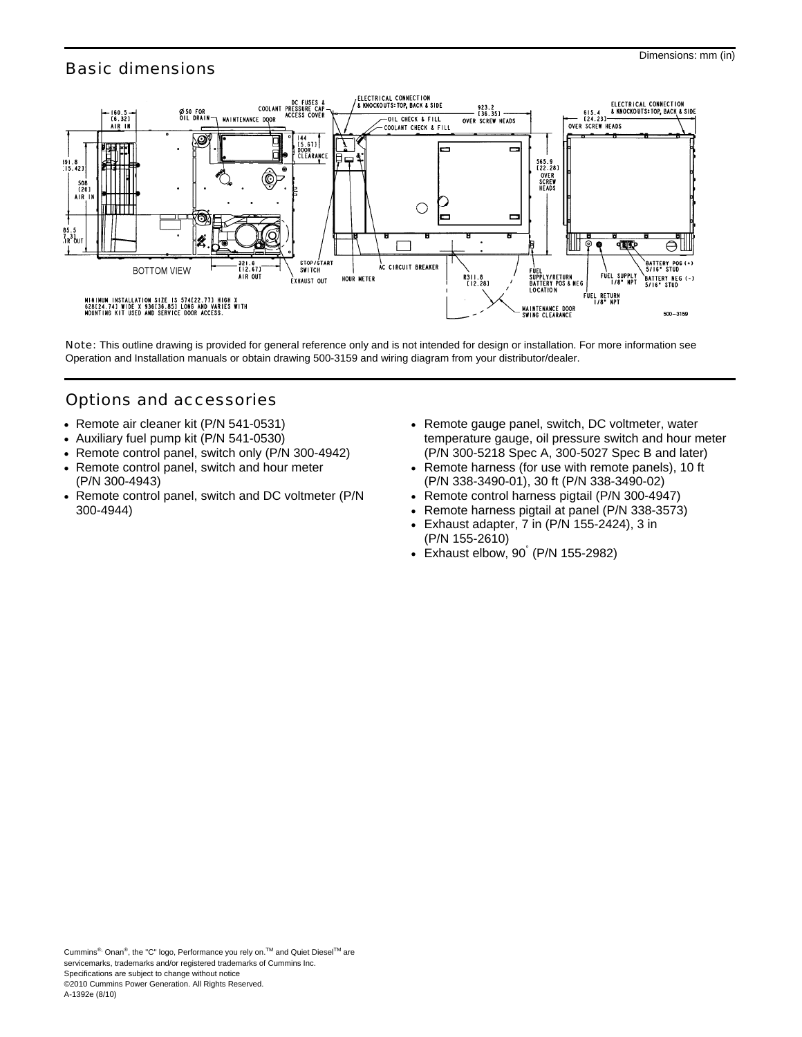## Basic dimensions



Note: This outline drawing is provided for general reference only and is not intended for design or installation. For more information see Operation and Installation manuals or obtain drawing 500-3159 and wiring diagram from your distributor/dealer.

# Options and accessories

- Remote air cleaner kit (P/N 541-0531)
- Auxiliary fuel pump kit (P/N 541-0530)
- Remote control panel, switch only (P/N 300-4942)
- Remote control panel, switch and hour meter (P/N 300-4943)
- Remote control panel, switch and DC voltmeter (P/N 300-4944)
- Remote gauge panel, switch, DC voltmeter, water temperature gauge, oil pressure switch and hour meter (P/N 300-5218 Spec A, 300-5027 Spec B and later)
- Remote harness (for use with remote panels), 10 ft (P/N 338-3490-01), 30 ft (P/N 338-3490-02)
- Remote control harness pigtail (P/N 300-4947)
- Remote harness pigtail at panel (P/N 338-3573)
- Exhaust adapter, 7 in (P/N 155-2424), 3 in (P/N 155-2610)
- Exhaust elbow, 90° (P/N 155-2982)